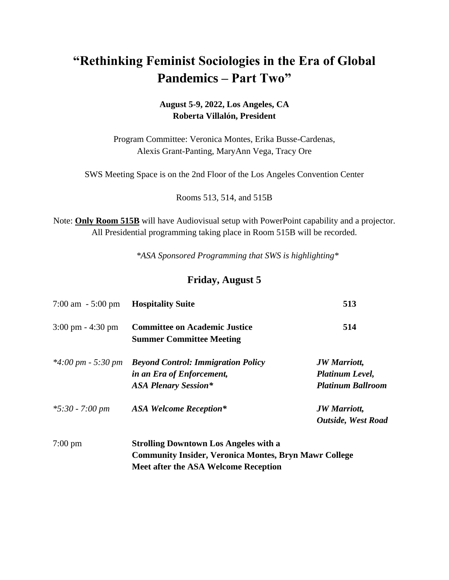# **"Rethinking Feminist Sociologies in the Era of Global Pandemics – Part Two"**

### **August 5-9, 2022, Los Angeles, CA Roberta Villalón, President**

Program Committee: Veronica Montes, Erika Busse-Cardenas, Alexis Grant-Panting, MaryAnn Vega, Tracy Ore

SWS Meeting Space is on the 2nd Floor of the Los Angeles Convention Center

Rooms 513, 514, and 515B

Note: **Only Room 515B** will have Audiovisual setup with PowerPoint capability and a projector. All Presidential programming taking place in Room 515B will be recorded.

*\*ASA Sponsored Programming that SWS is highlighting\**

### **Friday, August 5**

| $7:00 \text{ am } -5:00 \text{ pm}$  | <b>Hospitality Suite</b>                                                                                                                                    | 513                                                                |
|--------------------------------------|-------------------------------------------------------------------------------------------------------------------------------------------------------------|--------------------------------------------------------------------|
| $3:00 \text{ pm} - 4:30 \text{ pm}$  | <b>Committee on Academic Justice</b><br><b>Summer Committee Meeting</b>                                                                                     | 514                                                                |
| $*4:00 \text{ pm} - 5:30 \text{ pm}$ | <b>Beyond Control: Immigration Policy</b><br>in an Era of Enforcement,<br><b>ASA Plenary Session*</b>                                                       | <b>JW</b> Marriott,<br>Platinum Level,<br><b>Platinum Ballroom</b> |
| $*5:30 - 7:00 \text{ pm}$            | <b>ASA Welcome Reception*</b>                                                                                                                               | <b>JW</b> Marriott,<br><b>Outside, West Road</b>                   |
| $7:00 \text{ pm}$                    | <b>Strolling Downtown Los Angeles with a</b><br><b>Community Insider, Veronica Montes, Bryn Mawr College</b><br><b>Meet after the ASA Welcome Reception</b> |                                                                    |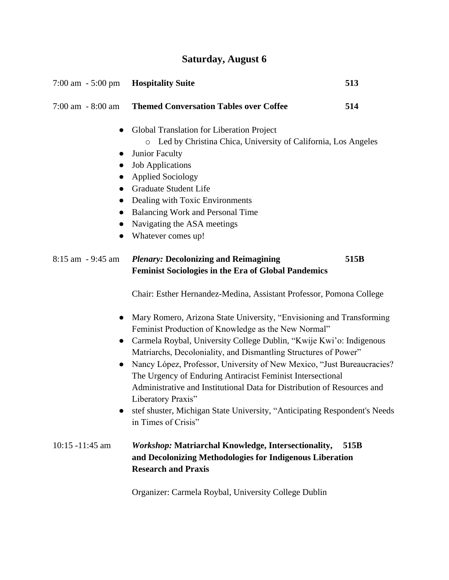| <b>Saturday, August 6</b> |  |  |
|---------------------------|--|--|
|---------------------------|--|--|

| $7:00 \text{ am } -5:00 \text{ pm}$              | <b>Hospitality Suite</b>                                                                                                                                                                                                                                                                                                                                                                                                                                                                                                                                                                                           | 513  |  |
|--------------------------------------------------|--------------------------------------------------------------------------------------------------------------------------------------------------------------------------------------------------------------------------------------------------------------------------------------------------------------------------------------------------------------------------------------------------------------------------------------------------------------------------------------------------------------------------------------------------------------------------------------------------------------------|------|--|
| $7:00$ am $-8:00$ am                             | <b>Themed Conversation Tables over Coffee</b>                                                                                                                                                                                                                                                                                                                                                                                                                                                                                                                                                                      | 514  |  |
| $\bullet$<br>$\bullet$<br>$\bullet$<br>$\bullet$ | Global Translation for Liberation Project<br>Led by Christina Chica, University of California, Los Angeles<br>$\circ$<br>Junior Faculty<br><b>Job Applications</b><br><b>Applied Sociology</b><br>Graduate Student Life<br>Dealing with Toxic Environments<br><b>Balancing Work and Personal Time</b><br>Navigating the ASA meetings<br>Whatever comes up!                                                                                                                                                                                                                                                         |      |  |
| 8:15 am - 9:45 am                                | <b>Plenary: Decolonizing and Reimagining</b><br><b>Feminist Sociologies in the Era of Global Pandemics</b>                                                                                                                                                                                                                                                                                                                                                                                                                                                                                                         | 515B |  |
|                                                  | Chair: Esther Hernandez-Medina, Assistant Professor, Pomona College                                                                                                                                                                                                                                                                                                                                                                                                                                                                                                                                                |      |  |
| $\bullet$                                        | Mary Romero, Arizona State University, "Envisioning and Transforming<br>Feminist Production of Knowledge as the New Normal"<br>Carmela Roybal, University College Dublin, "Kwije Kwi'o: Indigenous<br>Matriarchs, Decoloniality, and Dismantling Structures of Power"<br>Nancy López, Professor, University of New Mexico, "Just Bureaucracies?<br>The Urgency of Enduring Antiracist Feminist Intersectional<br>Administrative and Institutional Data for Distribution of Resources and<br>Liberatory Praxis"<br>stef shuster, Michigan State University, "Anticipating Respondent's Needs<br>in Times of Crisis" |      |  |
| $10:15 - 11:45$ am                               | <b>Workshop: Matriarchal Knowledge, Intersectionality,</b><br>and Decolonizing Methodologies for Indigenous Liberation<br><b>Research and Praxis</b>                                                                                                                                                                                                                                                                                                                                                                                                                                                               | 515B |  |

Organizer: Carmela Roybal, University College Dublin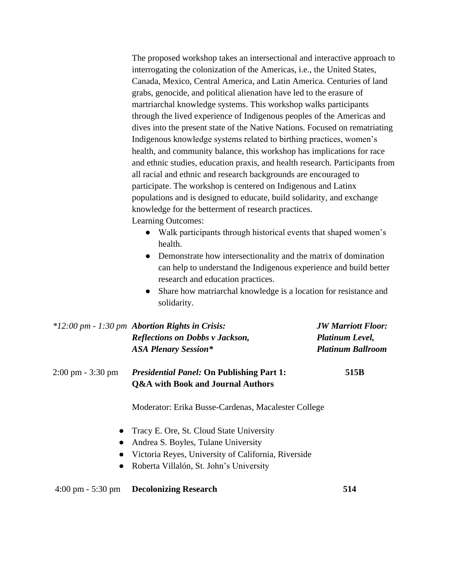The proposed workshop takes an intersectional and interactive approach to interrogating the colonization of the Americas, i.e., the United States, Canada, Mexico, Central America, and Latin America. Centuries of land grabs, genocide, and political alienation have led to the erasure of martriarchal knowledge systems. This workshop walks participants through the lived experience of Indigenous peoples of the Americas and dives into the present state of the Native Nations. Focused on rematriating Indigenous knowledge systems related to birthing practices, women's health, and community balance, this workshop has implications for race and ethnic studies, education praxis, and health research. Participants from all racial and ethnic and research backgrounds are encouraged to participate. The workshop is centered on Indigenous and Latinx populations and is designed to educate, build solidarity, and exchange knowledge for the betterment of research practices. Learning Outcomes:

- Walk participants through historical events that shaped women's health.
- Demonstrate how intersectionality and the matrix of domination can help to understand the Indigenous experience and build better research and education practices.
- Share how matriarchal knowledge is a location for resistance and solidarity.

|                                     | $*12:00 \, \text{pm}$ - 1:30 pm Abortion Rights in Crisis:<br><b>Reflections on Dobbs v Jackson,</b><br><b>ASA Plenary Session*</b>                                                     | <b>JW Marriott Floor:</b><br>Platinum Level,<br><b>Platinum Ballroom</b> |  |
|-------------------------------------|-----------------------------------------------------------------------------------------------------------------------------------------------------------------------------------------|--------------------------------------------------------------------------|--|
| $2:00 \text{ pm} - 3:30 \text{ pm}$ | <i>Presidential Panel:</i> On Publishing Part 1:<br><b>Q&amp;A</b> with Book and Journal Authors                                                                                        | 515B                                                                     |  |
|                                     | Moderator: Erika Busse-Cardenas, Macalester College                                                                                                                                     |                                                                          |  |
|                                     | • Tracy E. Ore, St. Cloud State University<br>• Andrea S. Boyles, Tulane University<br>• Victoria Reyes, University of California, Riverside<br>Roberta Villalón, St. John's University |                                                                          |  |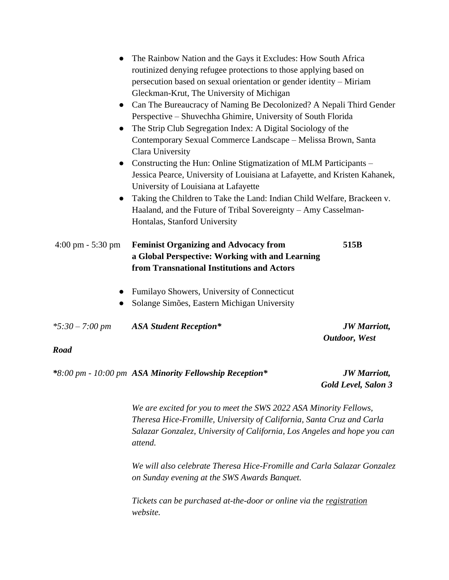| $\bullet$<br>$\bullet$              | The Rainbow Nation and the Gays it Excludes: How South Africa<br>routinized denying refugee protections to those applying based on<br>persecution based on sexual orientation or gender identity – Miriam<br>Gleckman-Krut, The University of Michigan<br>Can The Bureaucracy of Naming Be Decolonized? A Nepali Third Gender<br>Perspective - Shuvechha Ghimire, University of South Florida |                                              |
|-------------------------------------|-----------------------------------------------------------------------------------------------------------------------------------------------------------------------------------------------------------------------------------------------------------------------------------------------------------------------------------------------------------------------------------------------|----------------------------------------------|
| $\bullet$                           | The Strip Club Segregation Index: A Digital Sociology of the<br>Contemporary Sexual Commerce Landscape - Melissa Brown, Santa<br>Clara University                                                                                                                                                                                                                                             |                                              |
| $\bullet$                           | Constructing the Hun: Online Stigmatization of MLM Participants –<br>Jessica Pearce, University of Louisiana at Lafayette, and Kristen Kahanek,<br>University of Louisiana at Lafayette                                                                                                                                                                                                       |                                              |
| $\bullet$                           | Taking the Children to Take the Land: Indian Child Welfare, Brackeen v.<br>Haaland, and the Future of Tribal Sovereignty – Amy Casselman-<br>Hontalas, Stanford University                                                                                                                                                                                                                    |                                              |
| $4:00 \text{ pm} - 5:30 \text{ pm}$ | <b>Feminist Organizing and Advocacy from</b><br>a Global Perspective: Working with and Learning<br>from Transnational Institutions and Actors                                                                                                                                                                                                                                                 | 515B                                         |
|                                     | Fumilayo Showers, University of Connecticut<br>Solange Simões, Eastern Michigan University                                                                                                                                                                                                                                                                                                    |                                              |
| $*5:30 - 7:00 \text{ pm}$           | <b>ASA Student Reception*</b>                                                                                                                                                                                                                                                                                                                                                                 | <b>JW</b> Marriott,<br><b>Outdoor</b> , West |
| <b>Road</b>                         |                                                                                                                                                                                                                                                                                                                                                                                               |                                              |
|                                     | *8:00 pm - 10:00 pm ASA Minority Fellowship Reception*                                                                                                                                                                                                                                                                                                                                        | <b>JW</b> Marriott,                          |

 *Gold Level, Salon 3*

*We are excited for you to meet the SWS 2022 ASA Minority Fellows, Theresa Hice-Fromille, University of California, Santa Cruz and Carla Salazar Gonzalez, University of California, Los Angeles and hope you can attend.* 

*We will also celebrate Theresa Hice-Fromille and Carla Salazar Gonzalez on Sunday evening at the SWS Awards Banquet.* 

*Tickets can be purchased at-the-door or online via the [registration](https://nam12.safelinks.protection.outlook.com/?url=https%3A%2F%2Fwww.asanet.org%2Fannual-meeting%2F2022-annual-meeting%2Fregistration&data=05%7C01%7C%7C8562d12e45df4f3fc4e608da432dbdf3%7C84df9e7fe9f640afb435aaaaaaaaaaaa%7C1%7C0%7C637896160988483537%7CUnknown%7CTWFpbGZsb3d8eyJWIjoiMC4wLjAwMDAiLCJQIjoiV2luMzIiLCJBTiI6Ik1haWwiLCJXVCI6Mn0%3D%7C3000%7C%7C%7C&sdata=YuotiuXBzB3rJ24m2%2Bfm6I8%2Fl5RwlJpfi6xsloGOCKw%3D&reserved=0) website.*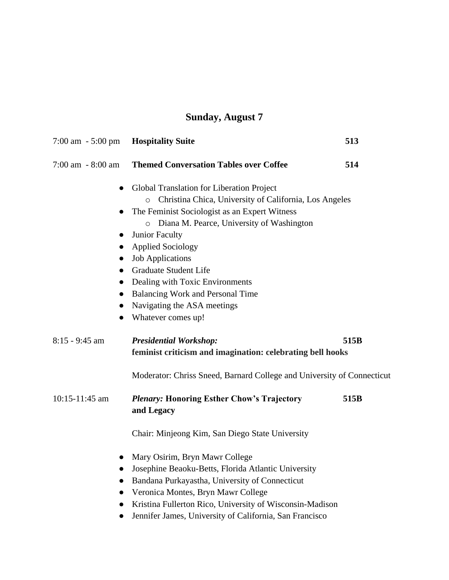## **Sunday, August 7**

| $7:00 \text{ am } -5:00 \text{ pm}$ | <b>Hospitality Suite</b>                                               | 513  |
|-------------------------------------|------------------------------------------------------------------------|------|
| $7:00$ am $-8:00$ am                | <b>Themed Conversation Tables over Coffee</b>                          | 514  |
| $\bullet$                           | Global Translation for Liberation Project                              |      |
|                                     | Christina Chica, University of California, Los Angeles<br>$\circ$      |      |
|                                     | The Feminist Sociologist as an Expert Witness                          |      |
|                                     | o Diana M. Pearce, University of Washington                            |      |
| $\bullet$                           | <b>Junior Faculty</b>                                                  |      |
| $\bullet$                           | <b>Applied Sociology</b>                                               |      |
| $\bullet$                           | <b>Job Applications</b>                                                |      |
| $\bullet$                           | <b>Graduate Student Life</b>                                           |      |
| $\bullet$                           | Dealing with Toxic Environments                                        |      |
| $\bullet$                           | <b>Balancing Work and Personal Time</b>                                |      |
| $\bullet$<br>$\bullet$              | Navigating the ASA meetings<br>Whatever comes up!                      |      |
|                                     |                                                                        |      |
| $8:15 - 9:45$ am                    | <b>Presidential Workshop:</b>                                          | 515B |
|                                     | feminist criticism and imagination: celebrating bell hooks             |      |
|                                     | Moderator: Chriss Sneed, Barnard College and University of Connecticut |      |
| 10:15-11:45 am                      | <b>Plenary: Honoring Esther Chow's Trajectory</b><br>and Legacy        | 515B |
|                                     | Chair: Minjeong Kim, San Diego State University                        |      |
| $\bullet$                           | Mary Osirim, Bryn Mawr College                                         |      |
| $\bullet$                           | Josephine Beaoku-Betts, Florida Atlantic University                    |      |
| $\bullet$                           | Bandana Purkayastha, University of Connecticut                         |      |
| $\bullet$                           | Veronica Montes, Bryn Mawr College                                     |      |
| $\bullet$                           | Kristina Fullerton Rico, University of Wisconsin-Madison               |      |
| $\bullet$                           | Jennifer James, University of California, San Francisco                |      |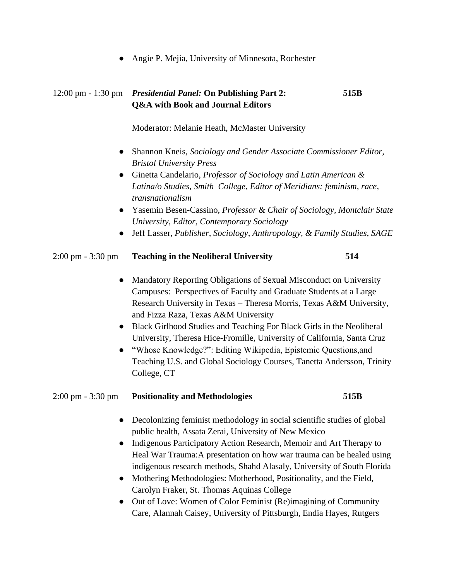● Angie P. Mejia, University of Minnesota, Rochester

### 12:00 pm - 1:30 pm *Presidential Panel:* **On Publishing Part 2: 515B Q&A with Book and Journal Editors**

Moderator: Melanie Heath, McMaster University

- Shannon Kneis, *Sociology and Gender Associate Commissioner Editor, Bristol University Press*
- Ginetta Candelario, *Professor of Sociology and Latin American & Latina/o Studies, Smith College, Editor of Meridians: feminism, race, transnationalism*
- Yasemin Besen-Cassino, *Professor & Chair of Sociology, Montclair State University, Editor, Contemporary Sociology*
- Jeff Lasser, *Publisher, Sociology, Anthropology, & Family Studies, SAGE*

#### 2:00 pm - 3:30 pm **Teaching in the Neoliberal University 514**

- Mandatory Reporting Obligations of Sexual Misconduct on University Campuses: Perspectives of Faculty and Graduate Students at a Large Research University in Texas – Theresa Morris, Texas A&M University, and Fizza Raza, Texas A&M University
- Black Girlhood Studies and Teaching For Black Girls in the Neoliberal University, Theresa Hice-Fromille, University of California, Santa Cruz
- "Whose Knowledge?": Editing Wikipedia, Epistemic Questions,and Teaching U.S. and Global Sociology Courses, Tanetta Andersson, Trinity College, CT

#### 2:00 pm - 3:30 pm **Positionality and Methodologies 515B**

- Decolonizing feminist methodology in social scientific studies of global public health, Assata Zerai, University of New Mexico
- Indigenous Participatory Action Research, Memoir and Art Therapy to Heal War Trauma:A presentation on how war trauma can be healed using indigenous research methods, Shahd Alasaly, University of South Florida
- Mothering Methodologies: Motherhood, Positionality, and the Field, Carolyn Fraker, St. Thomas Aquinas College
- Out of Love: Women of Color Feminist (Re)imagining of Community Care, Alannah Caisey, University of Pittsburgh, Endia Hayes, Rutgers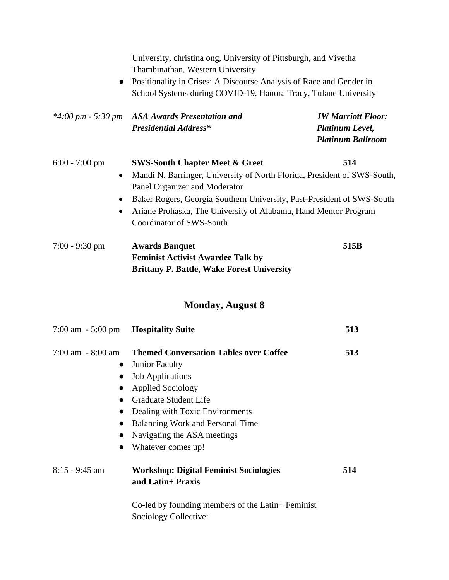|                                                         | University, christina ong, University of Pittsburgh, and Vivetha<br>Thambinathan, Western University                                                                                                                                                                                                                            |                                                                          |
|---------------------------------------------------------|---------------------------------------------------------------------------------------------------------------------------------------------------------------------------------------------------------------------------------------------------------------------------------------------------------------------------------|--------------------------------------------------------------------------|
| $\bullet$                                               | Positionality in Crises: A Discourse Analysis of Race and Gender in<br>School Systems during COVID-19, Hanora Tracy, Tulane University                                                                                                                                                                                          |                                                                          |
| $*4:00 \text{ pm} - 5:30 \text{ pm}$                    | <b>ASA Awards Presentation and</b><br><b>Presidential Address*</b>                                                                                                                                                                                                                                                              | <b>JW Marriott Floor:</b><br>Platinum Level,<br><b>Platinum Ballroom</b> |
| $6:00 - 7:00$ pm<br>$\bullet$<br>$\bullet$<br>$\bullet$ | <b>SWS-South Chapter Meet &amp; Greet</b><br>Mandi N. Barringer, University of North Florida, President of SWS-South,<br>Panel Organizer and Moderator<br>Baker Rogers, Georgia Southern University, Past-President of SWS-South<br>Ariane Prohaska, The University of Alabama, Hand Mentor Program<br>Coordinator of SWS-South | 514                                                                      |
| $7:00 - 9:30$ pm                                        | <b>Awards Banquet</b><br><b>Feminist Activist Awardee Talk by</b><br><b>Brittany P. Battle, Wake Forest University</b>                                                                                                                                                                                                          | 515B                                                                     |
|                                                         | <b>Monday, August 8</b>                                                                                                                                                                                                                                                                                                         |                                                                          |
| $7:00 \text{ am } -5:00 \text{ pm}$                     | <b>Hospitality Suite</b>                                                                                                                                                                                                                                                                                                        | 513                                                                      |
| $7:00$ am $-8:00$ am                                    | <b>Themed Conversation Tables over Coffee</b><br>Junior Faculty<br>• Job Applications<br><b>Applied Sociology</b><br><b>Graduate Student Life</b><br>Dealing with Toxic Environments<br><b>Balancing Work and Personal Time</b><br>Navigating the ASA meetings<br>Whatever comes up!                                            | 513                                                                      |
| 8:15 - 9:45 am                                          | <b>Workshop: Digital Feminist Sociologies</b><br>and Latin+ Praxis                                                                                                                                                                                                                                                              | 514                                                                      |
|                                                         | Co-led by founding members of the Latin+ Feminist                                                                                                                                                                                                                                                                               |                                                                          |

Sociology Collective: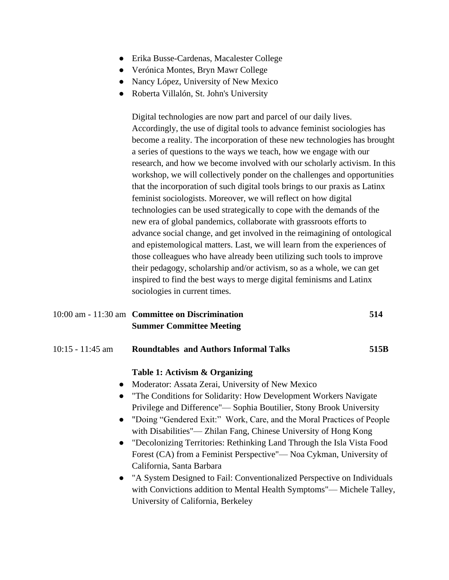- Erika Busse-Cardenas, Macalester College
- Verónica Montes, Bryn Mawr College
- Nancy López, University of New Mexico
- Roberta Villalón, St. John's University

Digital technologies are now part and parcel of our daily lives. Accordingly, the use of digital tools to advance feminist sociologies has become a reality. The incorporation of these new technologies has brought a series of questions to the ways we teach, how we engage with our research, and how we become involved with our scholarly activism. In this workshop, we will collectively ponder on the challenges and opportunities that the incorporation of such digital tools brings to our praxis as Latinx feminist sociologists. Moreover, we will reflect on how digital technologies can be used strategically to cope with the demands of the new era of global pandemics, collaborate with grassroots efforts to advance social change, and get involved in the reimagining of ontological and epistemological matters. Last, we will learn from the experiences of those colleagues who have already been utilizing such tools to improve their pedagogy, scholarship and/or activism, so as a whole, we can get inspired to find the best ways to merge digital feminisms and Latinx sociologies in current times.

| 10:00 am - 11:30 am Committee on Discrimination | 514 |
|-------------------------------------------------|-----|
| <b>Summer Committee Meeting</b>                 |     |

#### 10:15 - 11:45 am **Roundtables and Authors Informal Talks 515B**

#### **Table 1: Activism & Organizing**

- Moderator: Assata Zerai, University of New Mexico
- "The Conditions for Solidarity: How Development Workers Navigate Privilege and Difference"— Sophia Boutilier, Stony Brook University
- "Doing "Gendered Exit:" Work, Care, and the Moral Practices of People with Disabilities"— Zhilan Fang, Chinese University of Hong Kong
- "Decolonizing Territories: Rethinking Land Through the Isla Vista Food Forest (CA) from a Feminist Perspective"— Noa Cykman, University of California, Santa Barbara
- "A System Designed to Fail: Conventionalized Perspective on Individuals with Convictions addition to Mental Health Symptoms"— Michele Talley, University of California, Berkeley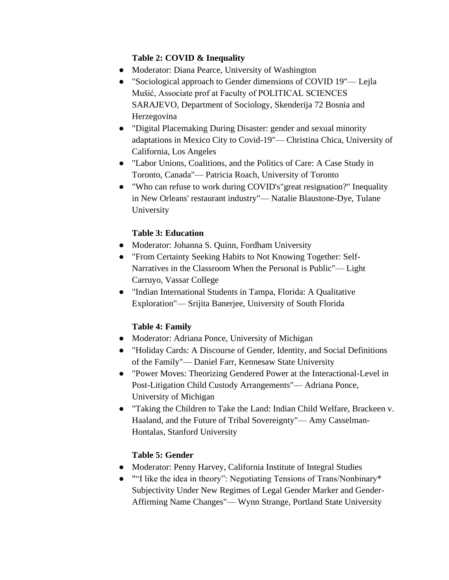#### **Table 2: COVID & Inequality**

- Moderator: Diana Pearce, University of Washington
- "Sociological approach to Gender dimensions of COVID 19"— Lejla Mušić, Associate prof at Faculty of POLITICAL SCIENCES SARAJEVO, Department of Sociology, Skenderija 72 Bosnia and Herzegovina
- "Digital Placemaking During Disaster: gender and sexual minority adaptations in Mexico City to Covid-19"— Christina Chica, University of California, Los Angeles
- "Labor Unions, Coalitions, and the Politics of Care: A Case Study in Toronto, Canada"— Patricia Roach, University of Toronto
- "Who can refuse to work during COVID's"great resignation?" Inequality in New Orleans' restaurant industry"— Natalie Blaustone-Dye, Tulane University

### **Table 3: Education**

- Moderator: Johanna S. Quinn, Fordham University
- "From Certainty Seeking Habits to Not Knowing Together: Self-Narratives in the Classroom When the Personal is Public"— Light Carruyo, Vassar College
- "Indian International Students in Tampa, Florida: A Qualitative Exploration"— Srijita Banerjee, University of South Florida

### **Table 4: Family**

- Moderator: Adriana Ponce, University of Michigan
- "Holiday Cards: A Discourse of Gender, Identity, and Social Definitions of the Family"— Daniel Farr, Kennesaw State University
- "Power Moves: Theorizing Gendered Power at the Interactional-Level in Post-Litigation Child Custody Arrangements"— Adriana Ponce, University of Michigan
- "Taking the Children to Take the Land: Indian Child Welfare, Brackeen v. Haaland, and the Future of Tribal Sovereignty"— Amy Casselman-Hontalas, Stanford University

### **Table 5: Gender**

- Moderator: Penny Harvey, California Institute of Integral Studies
- ""I like the idea in theory": Negotiating Tensions of Trans/Nonbinary\* Subjectivity Under New Regimes of Legal Gender Marker and Gender-Affirming Name Changes"— Wynn Strange, Portland State University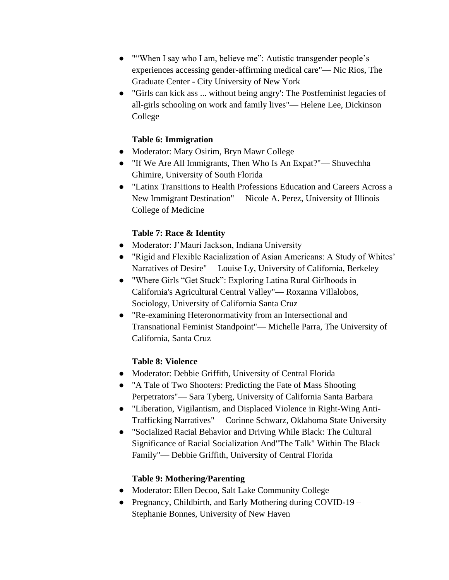- ""When I say who I am, believe me": Autistic transgender people's experiences accessing gender-affirming medical care"— Nic Rios, The Graduate Center - City University of New York
- "Girls can kick ass ... without being angry': The Postfeminist legacies of all-girls schooling on work and family lives"— Helene Lee, Dickinson College

#### **Table 6: Immigration**

- Moderator: Mary Osirim, Bryn Mawr College
- "If We Are All Immigrants, Then Who Is An Expat?"— Shuvechha Ghimire, University of South Florida
- "Latinx Transitions to Health Professions Education and Careers Across a New Immigrant Destination"— Nicole A. Perez, University of Illinois College of Medicine

#### **Table 7: Race & Identity**

- Moderator: J'Mauri Jackson, Indiana University
- "Rigid and Flexible Racialization of Asian Americans: A Study of Whites' Narratives of Desire"— Louise Ly, University of California, Berkeley
- "Where Girls "Get Stuck": Exploring Latina Rural Girlhoods in California's Agricultural Central Valley"— Roxanna Villalobos, Sociology, University of California Santa Cruz
- "Re-examining Heteronormativity from an Intersectional and Transnational Feminist Standpoint"— Michelle Parra, The University of California, Santa Cruz

#### **Table 8: Violence**

- Moderator: Debbie Griffith, University of Central Florida
- "A Tale of Two Shooters: Predicting the Fate of Mass Shooting Perpetrators"— Sara Tyberg, University of California Santa Barbara
- "Liberation, Vigilantism, and Displaced Violence in Right-Wing Anti-Trafficking Narratives"— Corinne Schwarz, Oklahoma State University
- "Socialized Racial Behavior and Driving While Black: The Cultural Significance of Racial Socialization And"The Talk" Within The Black Family"— Debbie Griffith, University of Central Florida

#### **Table 9: Mothering/Parenting**

- Moderator: Ellen Decoo, Salt Lake Community College
- Pregnancy, Childbirth, and Early Mothering during COVID-19 Stephanie Bonnes, University of New Haven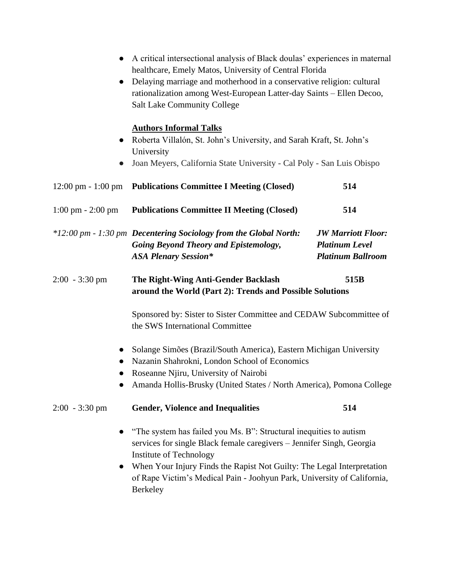|                                      | A critical intersectional analysis of Black doulas' experiences in maternal<br>healthcare, Emely Matos, University of Central Florida<br>Delaying marriage and motherhood in a conservative religion: cultural<br>rationalization among West-European Latter-day Saints - Ellen Decoo,<br><b>Salt Lake Community College</b>            |                                                                                |
|--------------------------------------|-----------------------------------------------------------------------------------------------------------------------------------------------------------------------------------------------------------------------------------------------------------------------------------------------------------------------------------------|--------------------------------------------------------------------------------|
| $\bullet$<br>$\bullet$               | <b>Authors Informal Talks</b><br>Roberta Villalón, St. John's University, and Sarah Kraft, St. John's<br>University<br>Joan Meyers, California State University - Cal Poly - San Luis Obispo                                                                                                                                            |                                                                                |
| $12:00 \text{ pm} - 1:00 \text{ pm}$ | <b>Publications Committee I Meeting (Closed)</b>                                                                                                                                                                                                                                                                                        | 514                                                                            |
| $1:00 \text{ pm} - 2:00 \text{ pm}$  | <b>Publications Committee II Meeting (Closed)</b>                                                                                                                                                                                                                                                                                       | 514                                                                            |
|                                      | *12:00 pm - 1:30 pm Decentering Sociology from the Global North:<br><b>Going Beyond Theory and Epistemology,</b><br><b>ASA Plenary Session*</b>                                                                                                                                                                                         | <b>JW Marriott Floor:</b><br><b>Platinum Level</b><br><b>Platinum Ballroom</b> |
| $2:00 - 3:30$ pm                     | The Right-Wing Anti-Gender Backlash<br>around the World (Part 2): Trends and Possible Solutions                                                                                                                                                                                                                                         | 515B                                                                           |
|                                      | Sponsored by: Sister to Sister Committee and CEDAW Subcommittee of<br>the SWS International Committee                                                                                                                                                                                                                                   |                                                                                |
|                                      | Solange Simões (Brazil/South America), Eastern Michigan University<br>Nazanin Shahrokni, London School of Economics<br>Roseanne Njiru, University of Nairobi<br>Amanda Hollis-Brusky (United States / North America), Pomona College                                                                                                    |                                                                                |
| $2:00 - 3:30 \text{ pm}$             | <b>Gender, Violence and Inequalities</b>                                                                                                                                                                                                                                                                                                | 514                                                                            |
| $\bullet$                            | "The system has failed you Ms. B": Structural inequities to autism<br>services for single Black female caregivers – Jennifer Singh, Georgia<br>Institute of Technology<br>When Your Injury Finds the Rapist Not Guilty: The Legal Interpretation<br>of Rape Victim's Medical Pain - Joohyun Park, University of California,<br>Berkeley |                                                                                |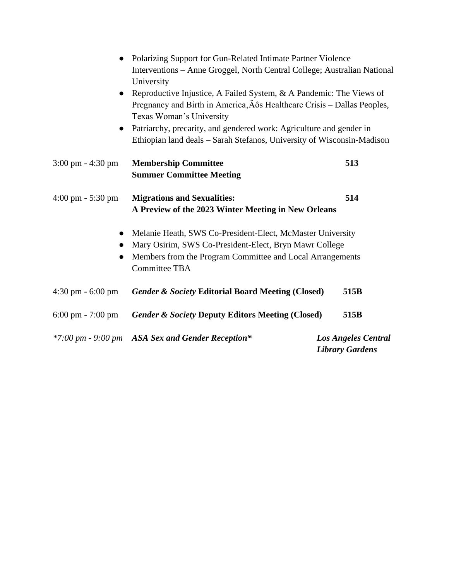| $\bullet$                           | Polarizing Support for Gun-Related Intimate Partner Violence<br>Interventions - Anne Groggel, North Central College; Australian National<br>University                                                    |                                                      |
|-------------------------------------|-----------------------------------------------------------------------------------------------------------------------------------------------------------------------------------------------------------|------------------------------------------------------|
|                                     | Reproductive Injustice, A Failed System, & A Pandemic: The Views of<br>Pregnancy and Birth in America, Äôs Healthcare Crisis - Dallas Peoples,<br>Texas Woman's University                                |                                                      |
| $\bullet$                           | Patriarchy, precarity, and gendered work: Agriculture and gender in<br>Ethiopian land deals - Sarah Stefanos, University of Wisconsin-Madison                                                             |                                                      |
| $3:00 \text{ pm} - 4:30 \text{ pm}$ | <b>Membership Committee</b><br><b>Summer Committee Meeting</b>                                                                                                                                            | 513                                                  |
| $4:00 \text{ pm} - 5:30 \text{ pm}$ | <b>Migrations and Sexualities:</b><br>A Preview of the 2023 Winter Meeting in New Orleans                                                                                                                 | 514                                                  |
| $\bullet$<br>$\bullet$              | Melanie Heath, SWS Co-President-Elect, McMaster University<br>Mary Osirim, SWS Co-President-Elect, Bryn Mawr College<br>Members from the Program Committee and Local Arrangements<br><b>Committee TBA</b> |                                                      |
| $4:30$ pm $-6:00$ pm                | <b>Gender &amp; Society Editorial Board Meeting (Closed)</b>                                                                                                                                              | 515B                                                 |
| $6:00 \text{ pm} - 7:00 \text{ pm}$ | <b>Gender &amp; Society Deputy Editors Meeting (Closed)</b>                                                                                                                                               | 515B                                                 |
|                                     | *7:00 pm - 9:00 pm ASA Sex and Gender Reception*                                                                                                                                                          | <b>Los Angeles Central</b><br><b>Library Gardens</b> |